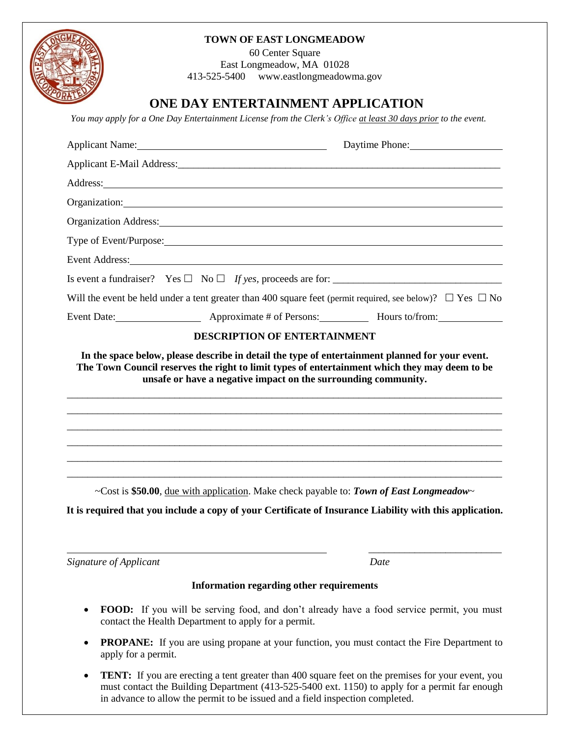## **TOWN OF EAST LONGMEADOW**

60 Center Square East Longmeadow, MA 01028 413-525-5400 www.eastlongmeadowma.gov

## **ONE DAY ENTERTAINMENT APPLICATION**

*You may apply for a One Day Entertainment License from the Clerk's Office at least 30 days prior to the event.*

|                                                                                                                                                                                                                                | Daytime Phone: |
|--------------------------------------------------------------------------------------------------------------------------------------------------------------------------------------------------------------------------------|----------------|
|                                                                                                                                                                                                                                |                |
| Address: Address: Address: Address: Address: Address: Address: Address: Address: Address: Address: Address: Address: Address: Address: Address: Address: Address: Address: Address: Address: Address: Address: Address: Addres |                |
| Organization: Contract of the Contract of the Contract of the Contract of the Contract of the Contract of the Contract of the Contract of the Contract of the Contract of the Contract of the Contract of the Contract of the  |                |
| Organization Address: 1988 and 2008 and 2008 and 2008 and 2008 and 2008 and 2008 and 2008 and 2008 and 2008 and 2008 and 2008 and 2008 and 2008 and 2008 and 2008 and 2008 and 2008 and 2008 and 2008 and 2008 and 2008 and 20 |                |
|                                                                                                                                                                                                                                |                |
| Event Address: No. 1996. The Commission of the Commission of the Commission of the Commission of the Commission of the Commission of the Commission of the Commission of the Commission of the Commission of the Commission of |                |
|                                                                                                                                                                                                                                |                |
| Will the event be held under a tent greater than 400 square feet (permit required, see below)? $\Box$ Yes $\Box$ No                                                                                                            |                |
| Event Date: <b>Event Date:</b> Approximate # of Persons: <b>Hours to/from:</b> Nours to/from:                                                                                                                                  |                |
| <b>DESCRIPTION OF ENTERTAINMENT</b>                                                                                                                                                                                            |                |
| unsafe or have a negative impact on the surrounding community.                                                                                                                                                                 |                |
| ~Cost is \$50.00, due with application. Make check payable to: Town of East Longmeadow~<br>It is required that you include a copy of your Certificate of Insurance Liability with this application.                            |                |
| Signature of Applicant                                                                                                                                                                                                         | Date           |
| <b>Information regarding other requirements</b>                                                                                                                                                                                |                |
| <b>FOOD:</b> If you will be serving food, and don't already have a food service permit, you must                                                                                                                               |                |

- contact the Health Department to apply for a permit. • **PROPANE:** If you are using propane at your function, you must contact the Fire Department to apply for a permit.
- **TENT:** If you are erecting a tent greater than 400 square feet on the premises for your event, you must contact the Building Department (413-525-5400 ext. 1150) to apply for a permit far enough in advance to allow the permit to be issued and a field inspection completed.